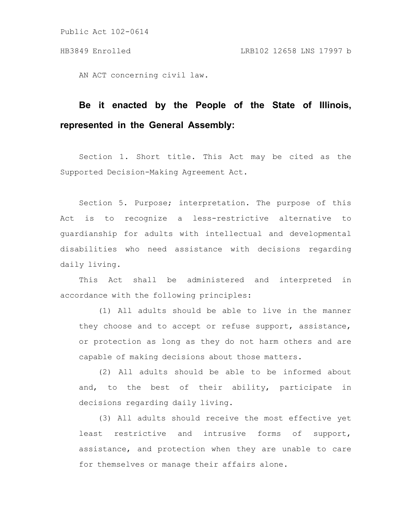AN ACT concerning civil law.

# **Be it enacted by the People of the State of Illinois, represented in the General Assembly:**

Section 1. Short title. This Act may be cited as the Supported Decision-Making Agreement Act.

Section 5. Purpose; interpretation. The purpose of this Act is to recognize a less-restrictive alternative to guardianship for adults with intellectual and developmental disabilities who need assistance with decisions regarding daily living.

This Act shall be administered and interpreted in accordance with the following principles:

(1) All adults should be able to live in the manner they choose and to accept or refuse support, assistance, or protection as long as they do not harm others and are capable of making decisions about those matters.

(2) All adults should be able to be informed about and, to the best of their ability, participate in decisions regarding daily living.

(3) All adults should receive the most effective yet least restrictive and intrusive forms of support, assistance, and protection when they are unable to care for themselves or manage their affairs alone.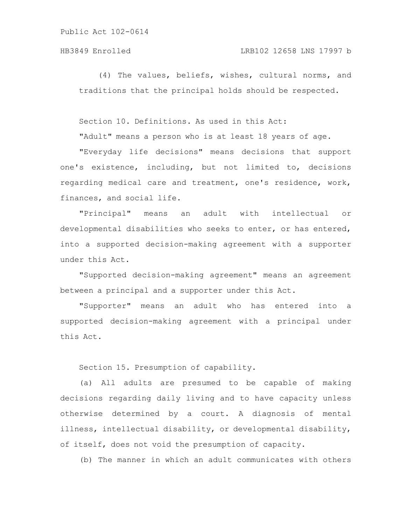## HB3849 Enrolled LRB102 12658 LNS 17997 b

(4) The values, beliefs, wishes, cultural norms, and traditions that the principal holds should be respected.

Section 10. Definitions. As used in this Act:

"Adult" means a person who is at least 18 years of age.

"Everyday life decisions" means decisions that support one's existence, including, but not limited to, decisions regarding medical care and treatment, one's residence, work, finances, and social life.

"Principal" means an adult with intellectual or developmental disabilities who seeks to enter, or has entered, into a supported decision-making agreement with a supporter under this Act.

"Supported decision-making agreement" means an agreement between a principal and a supporter under this Act.

"Supporter" means an adult who has entered into a supported decision-making agreement with a principal under this Act.

Section 15. Presumption of capability.

(a) All adults are presumed to be capable of making decisions regarding daily living and to have capacity unless otherwise determined by a court. A diagnosis of mental illness, intellectual disability, or developmental disability, of itself, does not void the presumption of capacity.

(b) The manner in which an adult communicates with others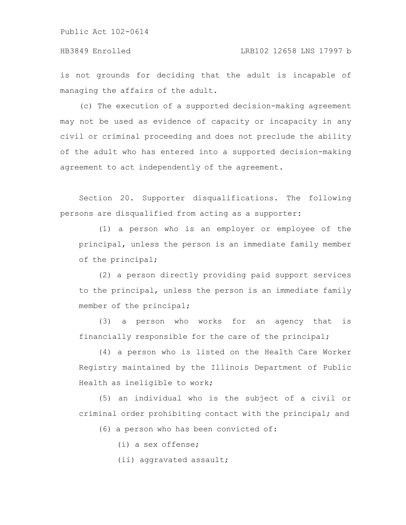is not grounds for deciding that the adult is incapable of managing the affairs of the adult.

(c) The execution of a supported decision-making agreement may not be used as evidence of capacity or incapacity in any civil or criminal proceeding and does not preclude the ability of the adult who has entered into a supported decision-making agreement to act independently of the agreement.

Section 20. Supporter disqualifications. The following persons are disqualified from acting as a supporter:

(1) a person who is an employer or employee of the principal, unless the person is an immediate family member of the principal;

(2) a person directly providing paid support services to the principal, unless the person is an immediate family member of the principal;

(3) a person who works for an agency that is financially responsible for the care of the principal;

(4) a person who is listed on the Health Care Worker Registry maintained by the Illinois Department of Public Health as ineligible to work;

(5) an individual who is the subject of a civil or criminal order prohibiting contact with the principal; and

(6) a person who has been convicted of:

(i) a sex offense;

(ii) aggravated assault;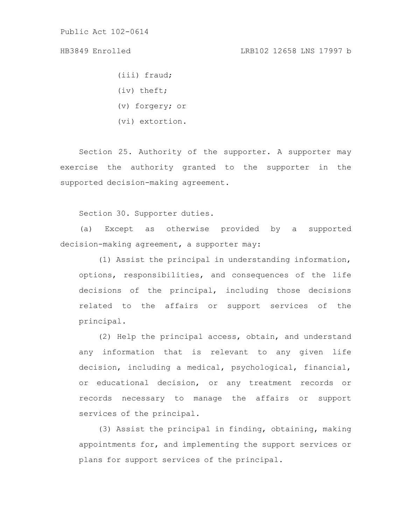(iii) fraud;

- (iv) theft;
- (v) forgery; or
- (vi) extortion.

Section 25. Authority of the supporter. A supporter may exercise the authority granted to the supporter in the supported decision-making agreement.

Section 30. Supporter duties.

(a) Except as otherwise provided by a supported decision-making agreement, a supporter may:

(1) Assist the principal in understanding information, options, responsibilities, and consequences of the life decisions of the principal, including those decisions related to the affairs or support services of the principal.

(2) Help the principal access, obtain, and understand any information that is relevant to any given life decision, including a medical, psychological, financial, or educational decision, or any treatment records or records necessary to manage the affairs or support services of the principal.

(3) Assist the principal in finding, obtaining, making appointments for, and implementing the support services or plans for support services of the principal.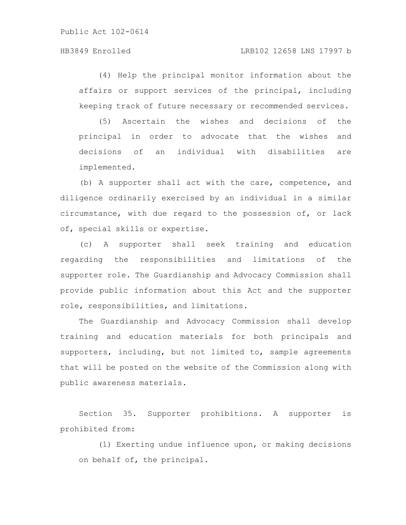## HB3849 Enrolled LRB102 12658 LNS 17997 b

(4) Help the principal monitor information about the affairs or support services of the principal, including keeping track of future necessary or recommended services.

(5) Ascertain the wishes and decisions of the principal in order to advocate that the wishes and decisions of an individual with disabilities are implemented.

(b) A supporter shall act with the care, competence, and diligence ordinarily exercised by an individual in a similar circumstance, with due regard to the possession of, or lack of, special skills or expertise.

(c) A supporter shall seek training and education regarding the responsibilities and limitations of the supporter role. The Guardianship and Advocacy Commission shall provide public information about this Act and the supporter role, responsibilities, and limitations.

The Guardianship and Advocacy Commission shall develop training and education materials for both principals and supporters, including, but not limited to, sample agreements that will be posted on the website of the Commission along with public awareness materials.

Section 35. Supporter prohibitions. A supporter is prohibited from:

(1) Exerting undue influence upon, or making decisions on behalf of, the principal.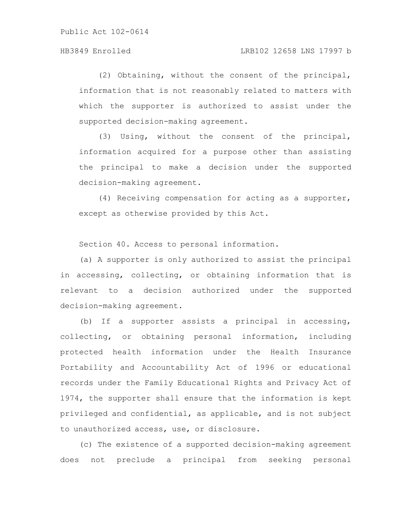(2) Obtaining, without the consent of the principal, information that is not reasonably related to matters with which the supporter is authorized to assist under the supported decision-making agreement.

(3) Using, without the consent of the principal, information acquired for a purpose other than assisting the principal to make a decision under the supported decision-making agreement.

(4) Receiving compensation for acting as a supporter, except as otherwise provided by this Act.

Section 40. Access to personal information.

(a) A supporter is only authorized to assist the principal in accessing, collecting, or obtaining information that is relevant to a decision authorized under the supported decision-making agreement.

(b) If a supporter assists a principal in accessing, collecting, or obtaining personal information, including protected health information under the Health Insurance Portability and Accountability Act of 1996 or educational records under the Family Educational Rights and Privacy Act of 1974, the supporter shall ensure that the information is kept privileged and confidential, as applicable, and is not subject to unauthorized access, use, or disclosure.

(c) The existence of a supported decision-making agreement does not preclude a principal from seeking personal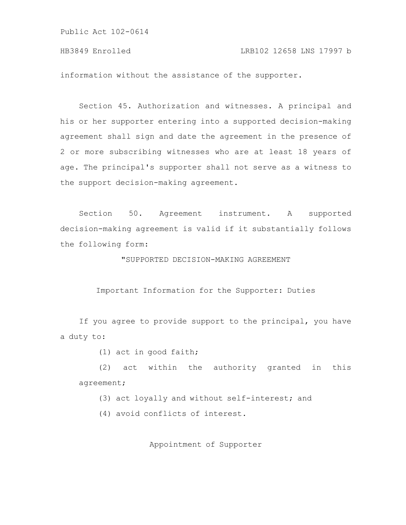HB3849 Enrolled LRB102 12658 LNS 17997 b

information without the assistance of the supporter.

Section 45. Authorization and witnesses. A principal and his or her supporter entering into a supported decision-making agreement shall sign and date the agreement in the presence of 2 or more subscribing witnesses who are at least 18 years of age. The principal's supporter shall not serve as a witness to the support decision-making agreement.

Section 50. Agreement instrument. A supported decision-making agreement is valid if it substantially follows the following form:

"SUPPORTED DECISION-MAKING AGREEMENT

Important Information for the Supporter: Duties

If you agree to provide support to the principal, you have a duty to:

(1) act in good faith;

(2) act within the authority granted in this agreement;

(3) act loyally and without self-interest; and

(4) avoid conflicts of interest.

Appointment of Supporter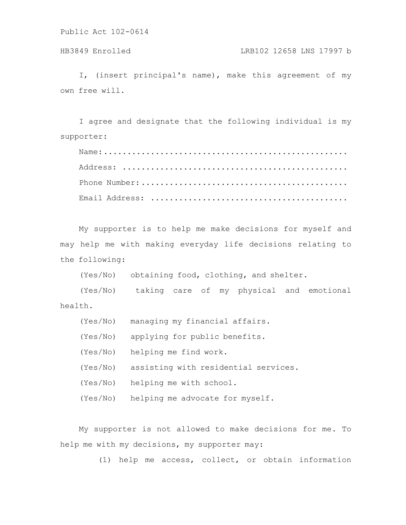## HB3849 Enrolled LRB102 12658 LNS 17997 b

I, (insert principal's name), make this agreement of my own free will.

I agree and designate that the following individual is my supporter:

Name:.................................................... Address: ................................................ Phone Number:............................................ Email Address: ..........................................

My supporter is to help me make decisions for myself and may help me with making everyday life decisions relating to the following:

(Yes/No) obtaining food, clothing, and shelter.

(Yes/No) taking care of my physical and emotional health.

- (Yes/No) managing my financial affairs.
- (Yes/No) applying for public benefits.
- (Yes/No) helping me find work.
- (Yes/No) assisting with residential services.
- (Yes/No) helping me with school.
- (Yes/No) helping me advocate for myself.

My supporter is not allowed to make decisions for me. To help me with my decisions, my supporter may:

(1) help me access, collect, or obtain information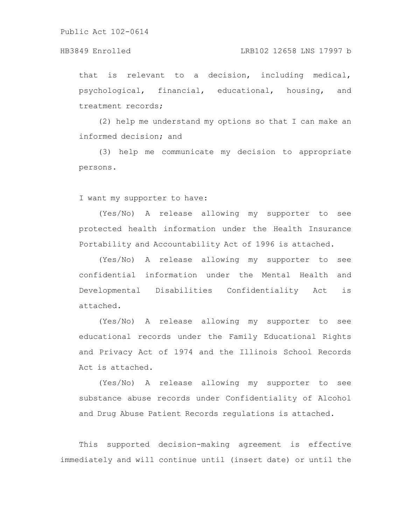#### HB3849 Enrolled LRB102 12658 LNS 17997 b

that is relevant to a decision, including medical, psychological, financial, educational, housing, and treatment records;

(2) help me understand my options so that I can make an informed decision; and

(3) help me communicate my decision to appropriate persons.

I want my supporter to have:

(Yes/No) A release allowing my supporter to see protected health information under the Health Insurance Portability and Accountability Act of 1996 is attached.

(Yes/No) A release allowing my supporter to see confidential information under the Mental Health and Developmental Disabilities Confidentiality Act is attached.

(Yes/No) A release allowing my supporter to see educational records under the Family Educational Rights and Privacy Act of 1974 and the Illinois School Records Act is attached.

(Yes/No) A release allowing my supporter to see substance abuse records under Confidentiality of Alcohol and Drug Abuse Patient Records regulations is attached.

This supported decision-making agreement is effective immediately and will continue until (insert date) or until the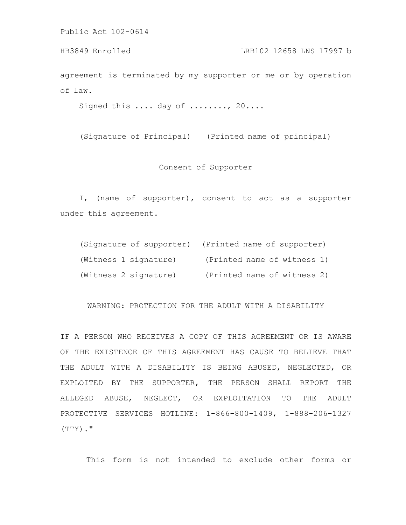agreement is terminated by my supporter or me or by operation of law. HB3849 Enrolled LRB102 12658 LNS 17997 b

Signed this .... day of ........, 20....

(Signature of Principal) (Printed name of principal)

Consent of Supporter

I, (name of supporter), consent to act as a supporter under this agreement.

|                       | (Signature of supporter) (Printed name of supporter) |
|-----------------------|------------------------------------------------------|
| (Witness 1 signature) | (Printed name of witness 1)                          |
| (Witness 2 signature) | (Printed name of witness 2)                          |

WARNING: PROTECTION FOR THE ADULT WITH A DISABILITY

IF A PERSON WHO RECEIVES A COPY OF THIS AGREEMENT OR IS AWARE OF THE EXISTENCE OF THIS AGREEMENT HAS CAUSE TO BELIEVE THAT THE ADULT WITH A DISABILITY IS BEING ABUSED, NEGLECTED, OR EXPLOITED BY THE SUPPORTER, THE PERSON SHALL REPORT THE ALLEGED ABUSE, NEGLECT, OR EXPLOITATION TO THE ADULT PROTECTIVE SERVICES HOTLINE: 1-866-800-1409, 1-888-206-1327 (TTY)."

This form is not intended to exclude other forms or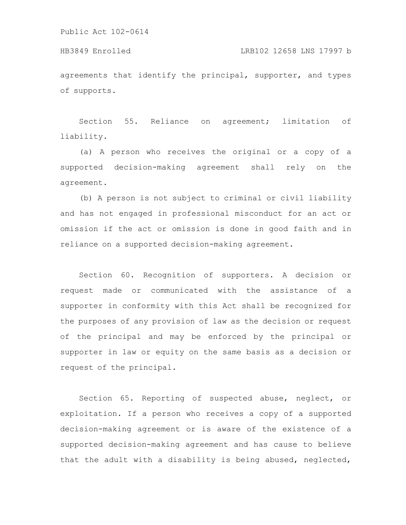of supports.

agreements that identify the principal, supporter, and types HB3849 Enrolled LRB102 12658 LNS 17997 b

Section 55. Reliance on agreement; limitation of liability.

(a) A person who receives the original or a copy of a supported decision-making agreement shall rely on the agreement.

(b) A person is not subject to criminal or civil liability and has not engaged in professional misconduct for an act or omission if the act or omission is done in good faith and in reliance on a supported decision-making agreement.

Section 60. Recognition of supporters. A decision or request made or communicated with the assistance of a supporter in conformity with this Act shall be recognized for the purposes of any provision of law as the decision or request of the principal and may be enforced by the principal or supporter in law or equity on the same basis as a decision or request of the principal.

Section 65. Reporting of suspected abuse, neglect, or exploitation. If a person who receives a copy of a supported decision-making agreement or is aware of the existence of a supported decision-making agreement and has cause to believe that the adult with a disability is being abused, neglected,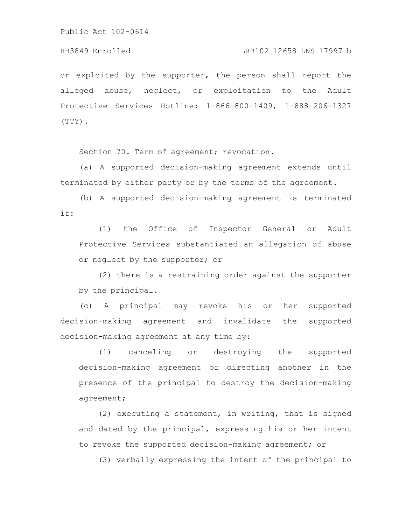HB3849 Enrolled LRB102 12658 LNS 17997 b

or exploited by the supporter, the person shall report the alleged abuse, neglect, or exploitation to the Adult Protective Services Hotline: 1-866-800-1409, 1-888-206-1327 (TTY).

Section 70. Term of agreement; revocation.

(a) A supported decision-making agreement extends until terminated by either party or by the terms of the agreement.

(b) A supported decision-making agreement is terminated if:

(1) the Office of Inspector General or Adult Protective Services substantiated an allegation of abuse or neglect by the supporter; or

(2) there is a restraining order against the supporter by the principal.

(c) A principal may revoke his or her supported decision-making agreement and invalidate the supported decision-making agreement at any time by:

(1) canceling or destroying the supported decision-making agreement or directing another in the presence of the principal to destroy the decision-making agreement;

(2) executing a statement, in writing, that is signed and dated by the principal, expressing his or her intent to revoke the supported decision-making agreement; or

(3) verbally expressing the intent of the principal to